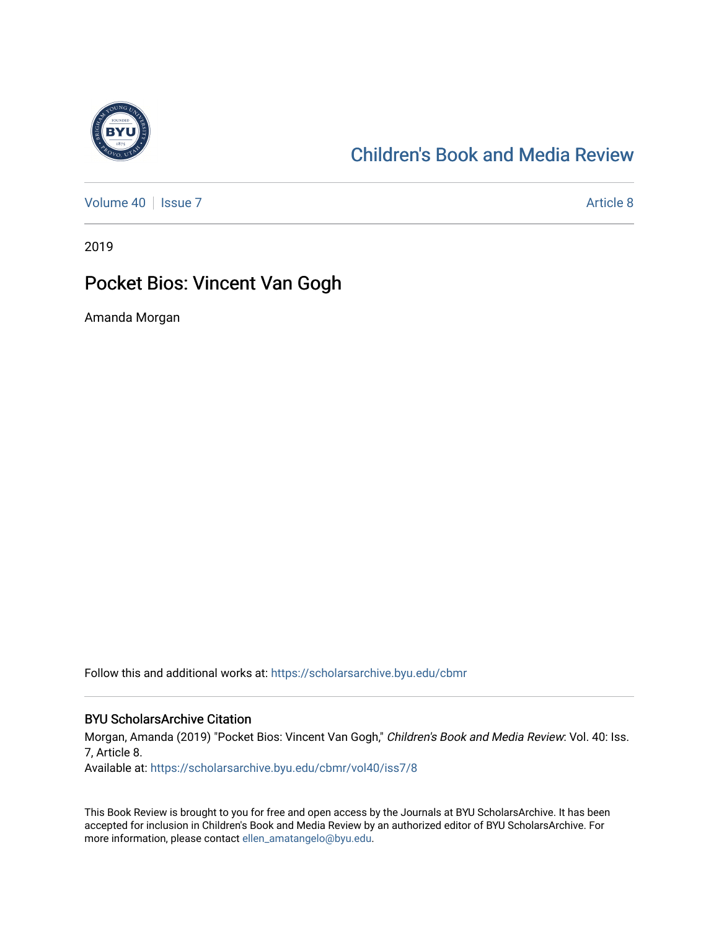

# [Children's Book and Media Review](https://scholarsarchive.byu.edu/cbmr)

[Volume 40](https://scholarsarchive.byu.edu/cbmr/vol40) | [Issue 7](https://scholarsarchive.byu.edu/cbmr/vol40/iss7) Article 8

2019

# Pocket Bios: Vincent Van Gogh

Amanda Morgan

Follow this and additional works at: [https://scholarsarchive.byu.edu/cbmr](https://scholarsarchive.byu.edu/cbmr?utm_source=scholarsarchive.byu.edu%2Fcbmr%2Fvol40%2Fiss7%2F8&utm_medium=PDF&utm_campaign=PDFCoverPages) 

#### BYU ScholarsArchive Citation

Morgan, Amanda (2019) "Pocket Bios: Vincent Van Gogh," Children's Book and Media Review: Vol. 40: Iss. 7, Article 8.

Available at: [https://scholarsarchive.byu.edu/cbmr/vol40/iss7/8](https://scholarsarchive.byu.edu/cbmr/vol40/iss7/8?utm_source=scholarsarchive.byu.edu%2Fcbmr%2Fvol40%2Fiss7%2F8&utm_medium=PDF&utm_campaign=PDFCoverPages) 

This Book Review is brought to you for free and open access by the Journals at BYU ScholarsArchive. It has been accepted for inclusion in Children's Book and Media Review by an authorized editor of BYU ScholarsArchive. For more information, please contact [ellen\\_amatangelo@byu.edu.](mailto:ellen_amatangelo@byu.edu)